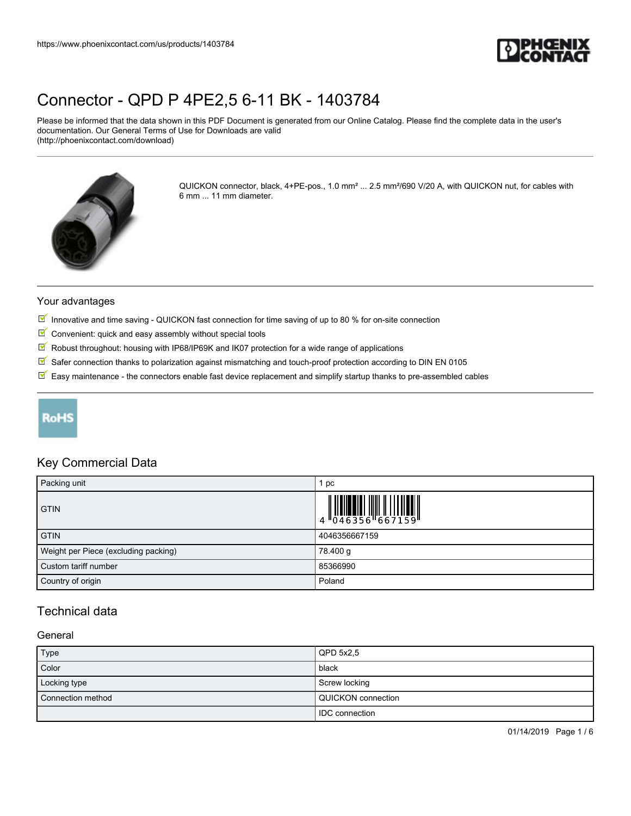

Please be informed that the data shown in this PDF Document is generated from our Online Catalog. Please find the complete data in the user's documentation. Our General Terms of Use for Downloads are valid (http://phoenixcontact.com/download)



QUICKON connector, black, 4+PE-pos., 1.0 mm² ... 2.5 mm²/690 V/20 A, with QUICKON nut, for cables with 6 mm ... 11 mm diameter.

#### Your advantages

- Innovative and time saving QUICKON fast connection for time saving of up to 80 % for on-site connection
- $\blacksquare$  Convenient: quick and easy assembly without special tools
- $\sqrt{}$ Robust throughout: housing with IP68/IP69K and IK07 protection for a wide range of applications
- $\boxed{\blacksquare}$  Safer connection thanks to polarization against mismatching and touch-proof protection according to DIN EN 0105
- $\overline{\mathbb{M}}$  Easy maintenance the connectors enable fast device replacement and simplify startup thanks to pre-assembled cables

## **RoHS**

## Key Commercial Data

| Packing unit                         | pc                                                                                                                                                                                                                                                                                                                          |
|--------------------------------------|-----------------------------------------------------------------------------------------------------------------------------------------------------------------------------------------------------------------------------------------------------------------------------------------------------------------------------|
| <b>GTIN</b>                          | $\begin{array}{c} 1 & 0 & 0 & 0 \\ 0 & 0 & 0 & 0 & 0 \\ 0 & 0 & 0 & 0 & 0 \\ 0 & 0 & 0 & 0 & 0 \\ 0 & 0 & 0 & 0 & 0 \\ 0 & 0 & 0 & 0 & 0 \\ 0 & 0 & 0 & 0 & 0 \\ 0 & 0 & 0 & 0 & 0 \\ 0 & 0 & 0 & 0 & 0 \\ 0 & 0 & 0 & 0 & 0 \\ 0 & 0 & 0 & 0 & 0 & 0 \\ 0 & 0 & 0 & 0 & 0 & 0 \\ 0 & 0 & 0 & 0 & 0 & 0 & 0 \\ 0 & 0 & 0 &$ |
| <b>GTIN</b>                          | 4046356667159                                                                                                                                                                                                                                                                                                               |
| Weight per Piece (excluding packing) | 78.400 g                                                                                                                                                                                                                                                                                                                    |
| Custom tariff number                 | 85366990                                                                                                                                                                                                                                                                                                                    |
| Country of origin                    | Poland                                                                                                                                                                                                                                                                                                                      |

## Technical data

## **General**

| Type              | QPD 5x2.5                 |
|-------------------|---------------------------|
| Color             | black                     |
| Locking type      | Screw locking             |
| Connection method | <b>QUICKON</b> connection |
|                   | <b>IDC</b> connection     |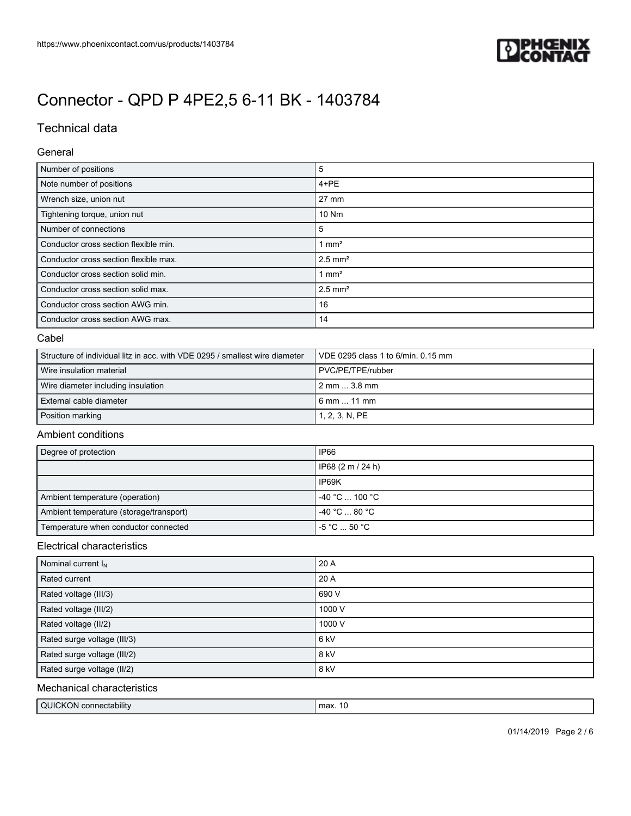

## Technical data

#### General

| Number of positions                   | 5                     |
|---------------------------------------|-----------------------|
| Note number of positions              | $4 + PE$              |
| Wrench size, union nut                | $27 \text{ mm}$       |
| Tightening torque, union nut          | 10 Nm                 |
| Number of connections                 | 5                     |
| Conductor cross section flexible min. | $1 \text{ mm}^2$      |
| Conductor cross section flexible max. | $2.5$ mm <sup>2</sup> |
| Conductor cross section solid min.    | $1 \text{ mm}^2$      |
| Conductor cross section solid max.    | $2.5$ mm <sup>2</sup> |
| Conductor cross section AWG min.      | 16                    |
| Conductor cross section AWG max.      | 14                    |

#### Cabel

| Structure of individual litz in acc. with VDE 0295 / smallest wire diameter | VDE 0295 class 1 to 6/min. 0.15 mm  |
|-----------------------------------------------------------------------------|-------------------------------------|
| Wire insulation material                                                    | PVC/PE/TPE/rubber                   |
| Wire diameter including insulation                                          | $2 \text{ mm} \dots 3.8 \text{ mm}$ |
| External cable diameter                                                     | l 6 mm  11 mm                       |
| Position marking                                                            | 1, 2, 3, N, PE                      |

### Ambient conditions

| Degree of protection                    | IP66                                         |
|-----------------------------------------|----------------------------------------------|
|                                         | IP68 (2 m / 24 h)                            |
|                                         | IP69K                                        |
| Ambient temperature (operation)         | $-40 °C$ 100 °C                              |
| Ambient temperature (storage/transport) | $-40 °C \dots 80 °C$                         |
| Temperature when conductor connected    | $-5\,^{\circ}\text{C}$ 50 $^{\circ}\text{C}$ |

### Electrical characteristics

| Nominal current $I_N$       | 20 A            |
|-----------------------------|-----------------|
| Rated current               | 20 A            |
| Rated voltage (III/3)       | 690 V           |
| Rated voltage (III/2)       | 1000 V          |
| Rated voltage (II/2)        | 1000 V          |
| Rated surge voltage (III/3) | 6 <sub>kV</sub> |
| Rated surge voltage (III/2) | 8 kV            |
| Rated surge voltage (II/2)  | 8 kV            |

## Mechanical characteristics

| QUICKON connectability | max.<br>$\mathbf{u}$ |
|------------------------|----------------------|
|                        |                      |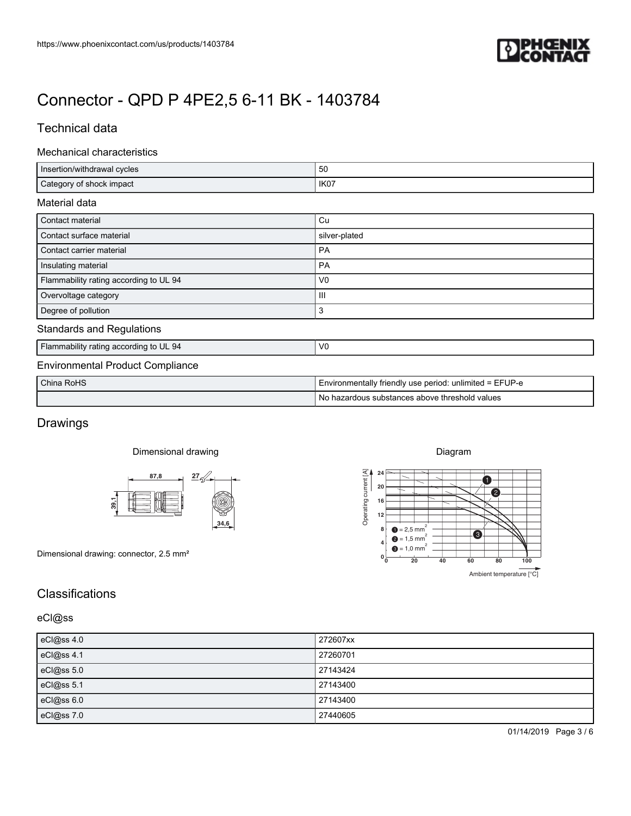

## Technical data

#### Mechanical characteristics

| https://www.phoenixcontact.com/us/products/1403784                                                         |                                                                                                                              |
|------------------------------------------------------------------------------------------------------------|------------------------------------------------------------------------------------------------------------------------------|
|                                                                                                            |                                                                                                                              |
|                                                                                                            |                                                                                                                              |
| Connector - QPD P 4PE2,5 6-11 BK - 1403784                                                                 |                                                                                                                              |
| <b>Technical data</b>                                                                                      |                                                                                                                              |
| Mechanical characteristics                                                                                 |                                                                                                                              |
| Insertion/withdrawal cycles                                                                                | 50                                                                                                                           |
|                                                                                                            | IK07                                                                                                                         |
| Category of shock impact                                                                                   |                                                                                                                              |
| Material data                                                                                              |                                                                                                                              |
| Contact material                                                                                           | $\mathtt{Cu}$                                                                                                                |
| Contact surface material<br>Contact carrier material                                                       | silver-plated<br>PA                                                                                                          |
| Insulating material                                                                                        | PA                                                                                                                           |
| Flammability rating according to UL 94                                                                     | ${\sf V0}$                                                                                                                   |
| Overvoltage category                                                                                       | Ш                                                                                                                            |
| Degree of pollution                                                                                        | 3                                                                                                                            |
| <b>Standards and Regulations</b><br>Flammability rating according to UL 94                                 | ${\sf V0}$                                                                                                                   |
|                                                                                                            |                                                                                                                              |
| China RoHS                                                                                                 | Environmentally friendly use period: unlimited = EFUP-e                                                                      |
|                                                                                                            | No hazardous substances above threshold values                                                                               |
|                                                                                                            |                                                                                                                              |
|                                                                                                            |                                                                                                                              |
| Dimensional drawing                                                                                        | Diagram                                                                                                                      |
| $\frac{87,8}{\longrightarrow}$ $\frac{27}{\sim}$                                                           | 0                                                                                                                            |
| Ô<br>39,1                                                                                                  | 2                                                                                                                            |
| 34,6                                                                                                       | $\begin{bmatrix} 1 \\ 2 \\ 1 \\ 2 \\ 0 \\ 0 \\ 0 \end{bmatrix}$<br>$\begin{bmatrix} 24 \\ 20 \\ 16 \\ 12 \\ 8 \end{bmatrix}$ |
|                                                                                                            | $\bullet$ = 2,5 mm <sup>2</sup><br>8 <sup>1</sup><br>$\bullet$<br>$\bullet$ = 1,5 mm <sup>2</sup>                            |
| <b>Environmental Product Compliance</b><br>Drawings<br>Dimensional drawing: connector, 2.5 mm <sup>2</sup> | $\bullet$ = 1,0 mm <sup>2</sup><br>$0^{\rm L}_{\rm 0}$<br>$\overline{20}$<br>40<br>60<br>80<br>100                           |
|                                                                                                            | Ambient temperature [°C]                                                                                                     |
| Classifications                                                                                            |                                                                                                                              |
| eCl@ss                                                                                                     |                                                                                                                              |
|                                                                                                            | 272607xx                                                                                                                     |
| eCl@ss 4.0<br>eCl@ss 4.1                                                                                   | 27260701                                                                                                                     |
| eCl@ss 5.0                                                                                                 | 27143424                                                                                                                     |
| eCl@ss 5.1                                                                                                 | 27143400                                                                                                                     |
| eCl@ss 6.0<br>eCl@ss 7.0                                                                                   | 27143400<br>27440605                                                                                                         |

| China RoHS | I Environmentally friendly use period: unlimited = EFUP-e |
|------------|-----------------------------------------------------------|
|            | T No hazardous substances above threshold values          |

## Drawings

#### Dimensional drawing





## **Classifications**

| eCl@ss 4.0 | 272607xx |
|------------|----------|
| eCl@ss 4.1 | 27260701 |
| eCl@ss 5.0 | 27143424 |
| eCl@ss 5.1 | 27143400 |
| eCl@ss 6.0 | 27143400 |
| eCl@ss 7.0 | 27440605 |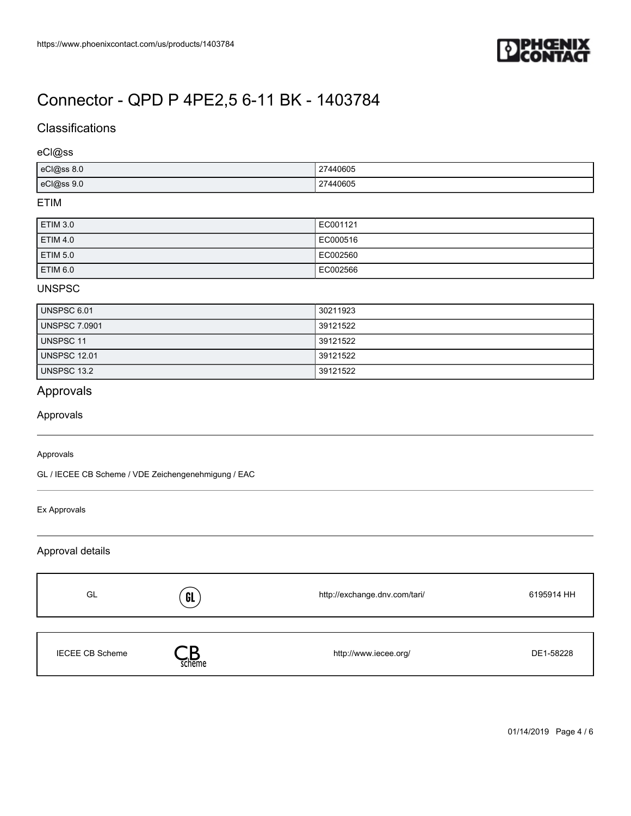

## **Classifications**

### eCl@ss

| eCl@ss 8.0 | 27440605      |
|------------|---------------|
| eCl@ss 9.0 | 27440605<br>. |

## ETIM

| ETIM 3.0        | EC001121 |
|-----------------|----------|
| <b>ETIM 4.0</b> | EC000516 |
| ETIM 5.0        | EC002560 |
| ETIM 6.0        | EC002566 |

#### UNSPSC

| UNSPSC 6.01          | 30211923 |
|----------------------|----------|
| <b>UNSPSC 7.0901</b> | 39121522 |
| <b>UNSPSC 11</b>     | 39121522 |
| <b>UNSPSC 12.01</b>  | 39121522 |
| <b>UNSPSC 13.2</b>   | 39121522 |

## Approvals

### Approvals

#### Approvals

GL / IECEE CB Scheme / VDE Zeichengenehmigung / EAC

#### Ex Approvals

### Approval details

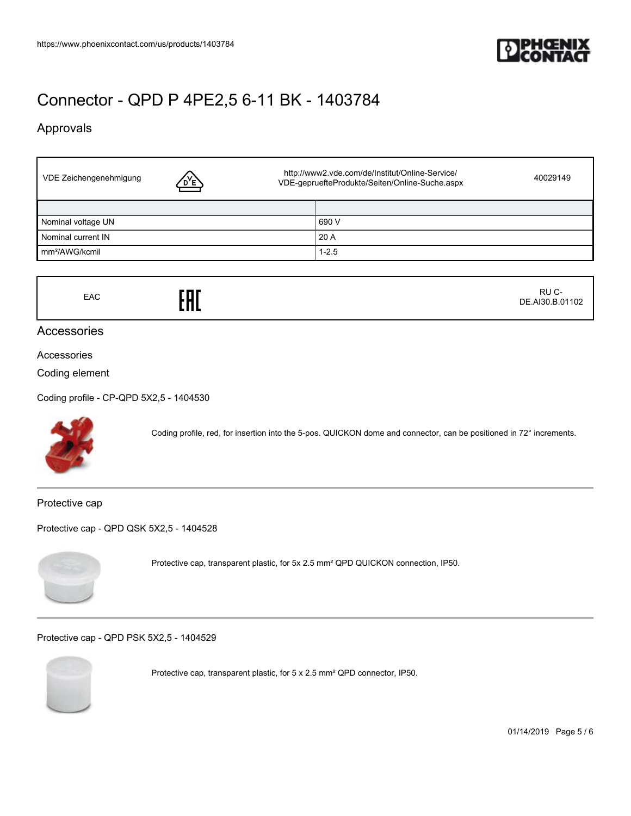

## Approvals

| VDE Zeichengenehmigung<br><u>D'E)</u> | http://www2.vde.com/de/Institut/Online-Service/<br>40029149<br>VDE-gepruefteProdukte/Seiten/Online-Suche.aspx |  |
|---------------------------------------|---------------------------------------------------------------------------------------------------------------|--|
|                                       |                                                                                                               |  |
| Nominal voltage UN                    | 690 V                                                                                                         |  |
| Nominal current IN                    | 20A                                                                                                           |  |
| mm <sup>2</sup> /AWG/kcmil            | $1 - 2.5$                                                                                                     |  |

EAC **FHE**  RU C-DE.AI30.B.01102

## Accessories

#### Accessories

#### Coding element

[Coding profile - CP-QPD 5X2,5 - 1404530](https://www.phoenixcontact.com/us/products/1404530)



Coding profile, red, for insertion into the 5-pos. QUICKON dome and connector, can be positioned in 72° increments.

Protective cap

[Protective cap - QPD QSK 5X2,5 - 1404528](https://www.phoenixcontact.com/us/products/1404528)



Protective cap, transparent plastic, for 5x 2.5 mm² QPD QUICKON connection, IP50.

[Protective cap - QPD PSK 5X2,5 - 1404529](https://www.phoenixcontact.com/us/products/1404529)



Protective cap, transparent plastic, for 5 x 2.5 mm² QPD connector, IP50.

01/14/2019 Page 5 / 6